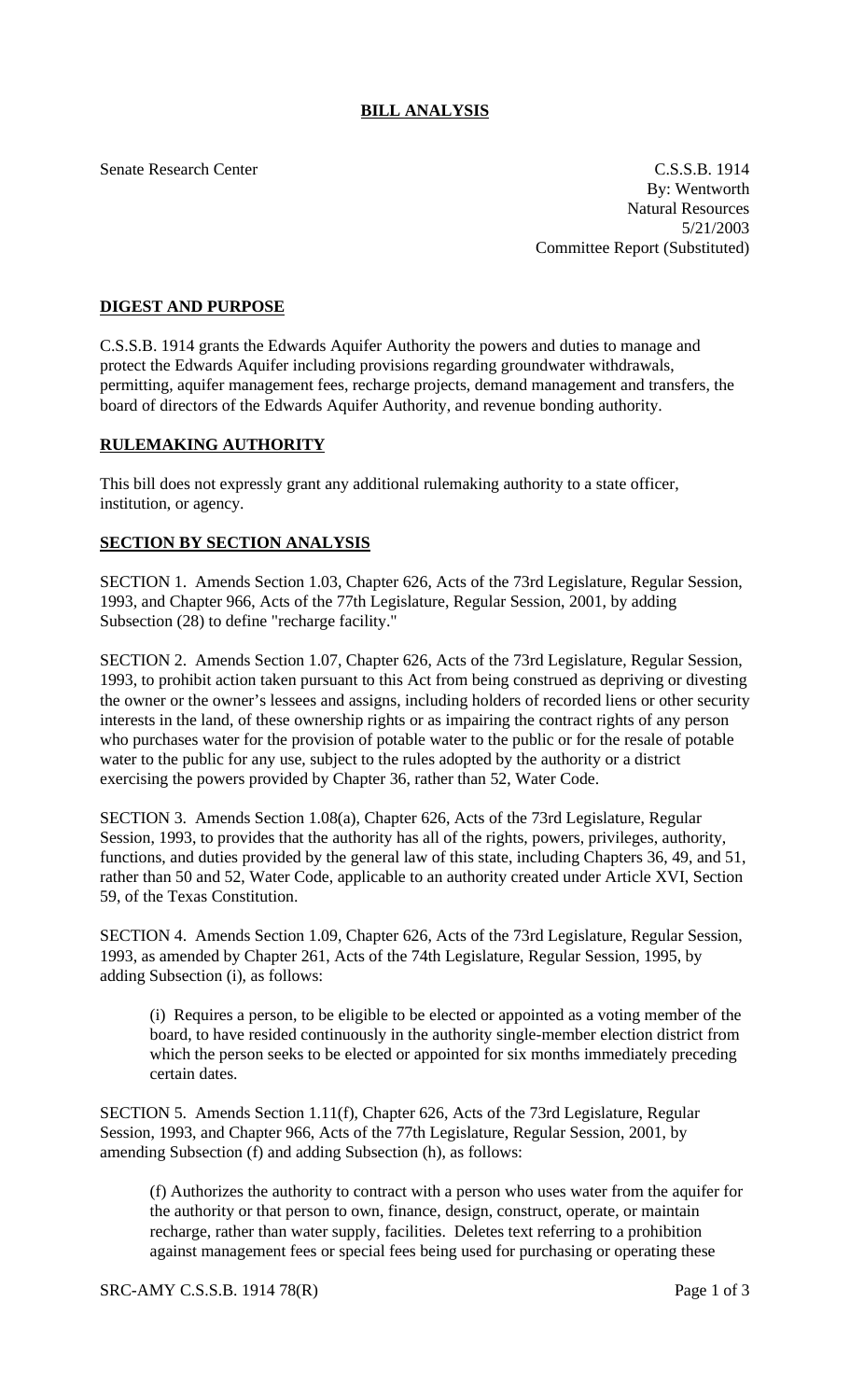## **BILL ANALYSIS**

Senate Research Center C.S.S.B. 1914 By: Wentworth Natural Resources 5/21/2003 Committee Report (Substituted)

## **DIGEST AND PURPOSE**

C.S.S.B. 1914 grants the Edwards Aquifer Authority the powers and duties to manage and protect the Edwards Aquifer including provisions regarding groundwater withdrawals, permitting, aquifer management fees, recharge projects, demand management and transfers, the board of directors of the Edwards Aquifer Authority, and revenue bonding authority.

## **RULEMAKING AUTHORITY**

This bill does not expressly grant any additional rulemaking authority to a state officer, institution, or agency.

## **SECTION BY SECTION ANALYSIS**

SECTION 1. Amends Section 1.03, Chapter 626, Acts of the 73rd Legislature, Regular Session, 1993, and Chapter 966, Acts of the 77th Legislature, Regular Session, 2001, by adding Subsection (28) to define "recharge facility."

SECTION 2. Amends Section 1.07, Chapter 626, Acts of the 73rd Legislature, Regular Session, 1993, to prohibit action taken pursuant to this Act from being construed as depriving or divesting the owner or the owner's lessees and assigns, including holders of recorded liens or other security interests in the land, of these ownership rights or as impairing the contract rights of any person who purchases water for the provision of potable water to the public or for the resale of potable water to the public for any use, subject to the rules adopted by the authority or a district exercising the powers provided by Chapter 36, rather than 52, Water Code.

SECTION 3. Amends Section 1.08(a), Chapter 626, Acts of the 73rd Legislature, Regular Session, 1993, to provides that the authority has all of the rights, powers, privileges, authority, functions, and duties provided by the general law of this state, including Chapters 36, 49, and 51, rather than 50 and 52, Water Code, applicable to an authority created under Article XVI, Section 59, of the Texas Constitution.

SECTION 4. Amends Section 1.09, Chapter 626, Acts of the 73rd Legislature, Regular Session, 1993, as amended by Chapter 261, Acts of the 74th Legislature, Regular Session, 1995, by adding Subsection (i), as follows:

(i) Requires a person, to be eligible to be elected or appointed as a voting member of the board, to have resided continuously in the authority single-member election district from which the person seeks to be elected or appointed for six months immediately preceding certain dates.

SECTION 5. Amends Section 1.11(f), Chapter 626, Acts of the 73rd Legislature, Regular Session, 1993, and Chapter 966, Acts of the 77th Legislature, Regular Session, 2001, by amending Subsection (f) and adding Subsection (h), as follows:

(f) Authorizes the authority to contract with a person who uses water from the aquifer for the authority or that person to own, finance, design, construct, operate, or maintain recharge, rather than water supply, facilities. Deletes text referring to a prohibition against management fees or special fees being used for purchasing or operating these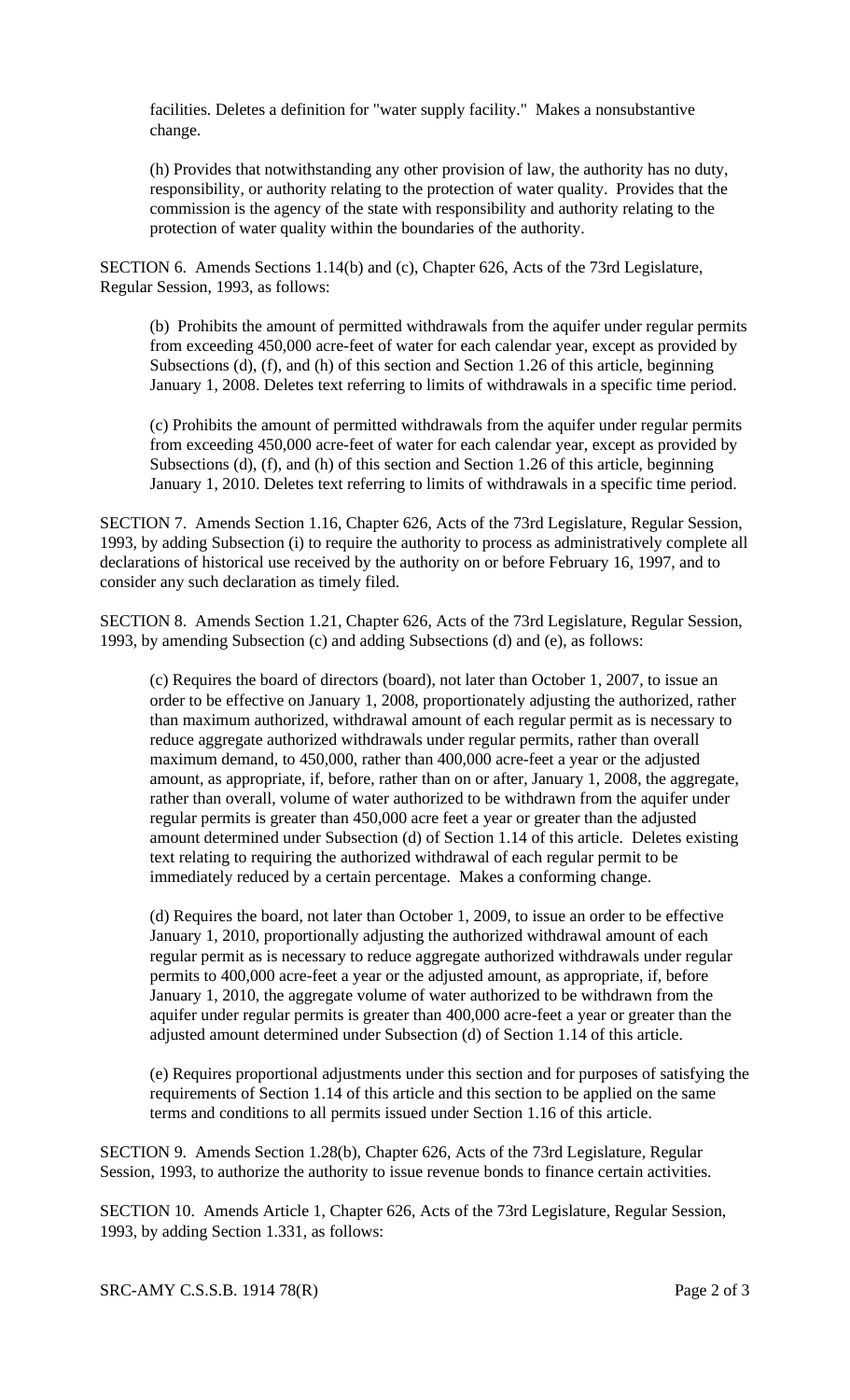facilities. Deletes a definition for "water supply facility." Makes a nonsubstantive change.

(h) Provides that notwithstanding any other provision of law, the authority has no duty, responsibility, or authority relating to the protection of water quality. Provides that the commission is the agency of the state with responsibility and authority relating to the protection of water quality within the boundaries of the authority.

SECTION 6. Amends Sections 1.14(b) and (c), Chapter 626, Acts of the 73rd Legislature, Regular Session, 1993, as follows:

(b) Prohibits the amount of permitted withdrawals from the aquifer under regular permits from exceeding 450,000 acre-feet of water for each calendar year, except as provided by Subsections (d), (f), and (h) of this section and Section 1.26 of this article, beginning January 1, 2008. Deletes text referring to limits of withdrawals in a specific time period.

(c) Prohibits the amount of permitted withdrawals from the aquifer under regular permits from exceeding 450,000 acre-feet of water for each calendar year, except as provided by Subsections (d), (f), and (h) of this section and Section 1.26 of this article, beginning January 1, 2010. Deletes text referring to limits of withdrawals in a specific time period.

SECTION 7. Amends Section 1.16, Chapter 626, Acts of the 73rd Legislature, Regular Session, 1993, by adding Subsection (i) to require the authority to process as administratively complete all declarations of historical use received by the authority on or before February 16, 1997, and to consider any such declaration as timely filed.

SECTION 8. Amends Section 1.21, Chapter 626, Acts of the 73rd Legislature, Regular Session, 1993, by amending Subsection (c) and adding Subsections (d) and (e), as follows:

(c) Requires the board of directors (board), not later than October 1, 2007, to issue an order to be effective on January 1, 2008, proportionately adjusting the authorized, rather than maximum authorized, withdrawal amount of each regular permit as is necessary to reduce aggregate authorized withdrawals under regular permits, rather than overall maximum demand, to 450,000, rather than 400,000 acre-feet a year or the adjusted amount, as appropriate, if, before, rather than on or after, January 1, 2008, the aggregate, rather than overall, volume of water authorized to be withdrawn from the aquifer under regular permits is greater than 450,000 acre feet a year or greater than the adjusted amount determined under Subsection (d) of Section 1.14 of this article. Deletes existing text relating to requiring the authorized withdrawal of each regular permit to be immediately reduced by a certain percentage. Makes a conforming change.

(d) Requires the board, not later than October 1, 2009, to issue an order to be effective January 1, 2010, proportionally adjusting the authorized withdrawal amount of each regular permit as is necessary to reduce aggregate authorized withdrawals under regular permits to 400,000 acre-feet a year or the adjusted amount, as appropriate, if, before January 1, 2010, the aggregate volume of water authorized to be withdrawn from the aquifer under regular permits is greater than 400,000 acre-feet a year or greater than the adjusted amount determined under Subsection (d) of Section 1.14 of this article.

(e) Requires proportional adjustments under this section and for purposes of satisfying the requirements of Section 1.14 of this article and this section to be applied on the same terms and conditions to all permits issued under Section 1.16 of this article.

SECTION 9. Amends Section 1.28(b), Chapter 626, Acts of the 73rd Legislature, Regular Session, 1993, to authorize the authority to issue revenue bonds to finance certain activities.

SECTION 10. Amends Article 1, Chapter 626, Acts of the 73rd Legislature, Regular Session, 1993, by adding Section 1.331, as follows: